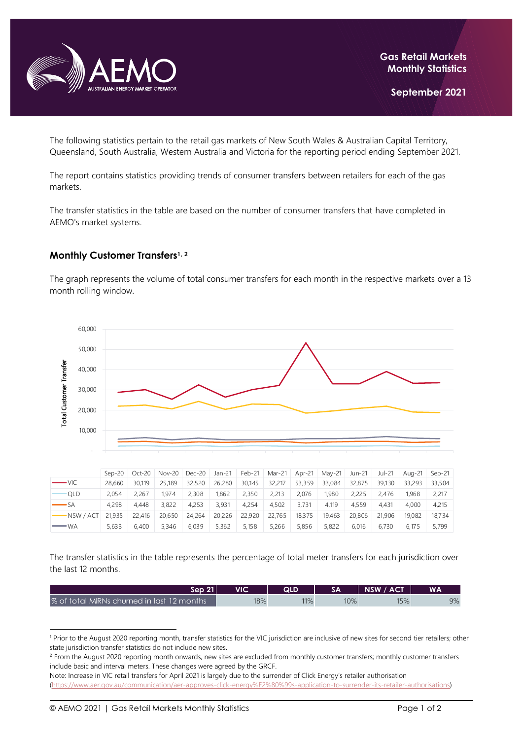

The following statistics pertain to the retail gas markets of New South Wales & Australian Capital Territory, Queensland, South Australia, Western Australia and Victoria for the reporting period ending September 2021.

The report contains statistics providing trends of consumer transfers between retailers for each of the gas markets.

The transfer statistics in the table are based on the number of consumer transfers that have completed in AEMO's market systems.

## **Monthly Customer Transfers1, <sup>2</sup>**

The graph represents the volume of total consumer transfers for each month in the respective markets over a 13 month rolling window.



|                       | $Sen-20$ |        | Oct-20   Nov-20   Dec-20 |        | Jan-21 | Feb-21 | Mar-21 Apr-21 |        | May-21 | Jun-21 | Jul-21 | Aug-21 | $Sen-21$ |
|-----------------------|----------|--------|--------------------------|--------|--------|--------|---------------|--------|--------|--------|--------|--------|----------|
| $\longrightarrow$ VIC | 28,660   | 30.119 | 25.189                   | 32,520 | 26,280 | 30,145 | 32,217        | 53,359 | 33,084 | 32,875 | 39.130 | 33,293 | 33,504   |
| $\neg$ QLD            | 2.054    | 2.267  | 1.974                    | 2,308  | 1.862  | 2,350  | 2.213         | 2.076  | 1.980  | 2.225  | 2.476  | 1.968  | 2,217    |
| $\longrightarrow$ SA  | 4,298    | 4.448  | 3.822                    | 4.253  | 3.931  | 4.254  | 4.502         | 3.731  | 4.119  | 4.559  | 4.431  | 4.000  | 4.215    |
| -NSW / ACT            | 21.935   | 22.416 | 20.650                   | 24,264 | 20,226 | 22,920 | 22.765        | 18.375 | 19.463 | 20,806 | 21,906 | 19.082 | 18.734   |
| $-w_A$                | 5.633    | 6.400  | 5.346                    | 6.039  | 5.362  | 5.158  | 5.266         | 5.856  | 5,822  | 6.016  | 6.730  | 6.175  | 5.799    |

The transfer statistics in the table represents the percentage of total meter transfers for each jurisdiction over the last 12 months.

| Sep 21 l                                   | VIC | QLD |     | NSW / ACT | <b>WA</b> |
|--------------------------------------------|-----|-----|-----|-----------|-----------|
| % of total MIRNs churned in last 12 months | 18% | 11% | 10% | 15%       | 9%        |

<sup>&</sup>lt;sup>1</sup> Prior to the August 2020 reporting month, transfer statistics for the VIC jurisdiction are inclusive of new sites for second tier retailers; other state jurisdiction transfer statistics do not include new sites.

<sup>&</sup>lt;sup>2</sup> From the August 2020 reporting month onwards, new sites are excluded from monthly customer transfers; monthly customer transfers include basic and interval meters. These changes were agreed by the GRCF.

Note: Increase in VIC retail transfers for April 2021 is largely due to the surrender of Click Energy's retailer authorisation [\(https://www.aer.gov.au/communication/aer-approves-click-energy%E2%80%99s-application-to-surrender-its-retailer-authorisations\)](https://www.aer.gov.au/communication/aer-approves-click-energy%E2%80%99s-application-to-surrender-its-retailer-authorisations)